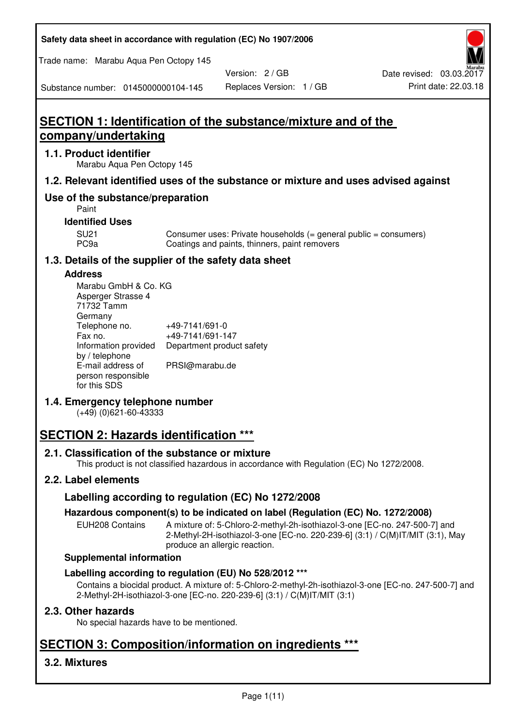**Safety data sheet in accordance with regulation (EC) No 1907/2006** 

Trade name: Marabu Aqua Pen Octopy 145

Version: 2 / GB

Substance number: 0145000000104-145

# **SECTION 1: Identification of the substance/mixture and of the company/undertaking**

## **1.1. Product identifier**

Marabu Aqua Pen Octopy 145

## **1.2. Relevant identified uses of the substance or mixture and uses advised against**

## **Use of the substance/preparation**

Paint

## **Identified Uses**

SU21 Consumer uses: Private households (= general public = consumers)<br>PC9a Coatings and paints, thinners, paint removers Coatings and paints, thinners, paint removers

## **1.3. Details of the supplier of the safety data sheet**

## **Address**

| Marabu GmbH & Co. KG |                           |
|----------------------|---------------------------|
| Asperger Strasse 4   |                           |
| 71732 Tamm           |                           |
| Germany              |                           |
| Telephone no.        | +49-7141/691-0            |
| Fax no.              | +49-7141/691-147          |
| Information provided | Department product safety |
| by / telephone       |                           |
| E-mail address of    | PRSI@marabu.de            |
| person responsible   |                           |
| for this SDS         |                           |

## **1.4. Emergency telephone number**

(+49) (0)621-60-43333

# **SECTION 2: Hazards identification \*\*\***

## **2.1. Classification of the substance or mixture**

This product is not classified hazardous in accordance with Regulation (EC) No 1272/2008.

## **2.2. Label elements**

## **Labelling according to regulation (EC) No 1272/2008**

## **Hazardous component(s) to be indicated on label (Regulation (EC) No. 1272/2008)**

EUH208 Contains A mixture of: 5-Chloro-2-methyl-2h-isothiazol-3-one [EC-no. 247-500-7] and 2-Methyl-2H-isothiazol-3-one [EC-no. 220-239-6] (3:1) / C(M)IT/MIT (3:1), May produce an allergic reaction.

#### **Supplemental information**

## **Labelling according to regulation (EU) No 528/2012 \*\*\***

Contains a biocidal product. A mixture of: 5-Chloro-2-methyl-2h-isothiazol-3-one [EC-no. 247-500-7] and 2-Methyl-2H-isothiazol-3-one [EC-no. 220-239-6] (3:1) / C(M)IT/MIT (3:1)

## **2.3. Other hazards**

No special hazards have to be mentioned.

# **SECTION 3: Composition/information on ingredients \*\*\***

## **3.2. Mixtures**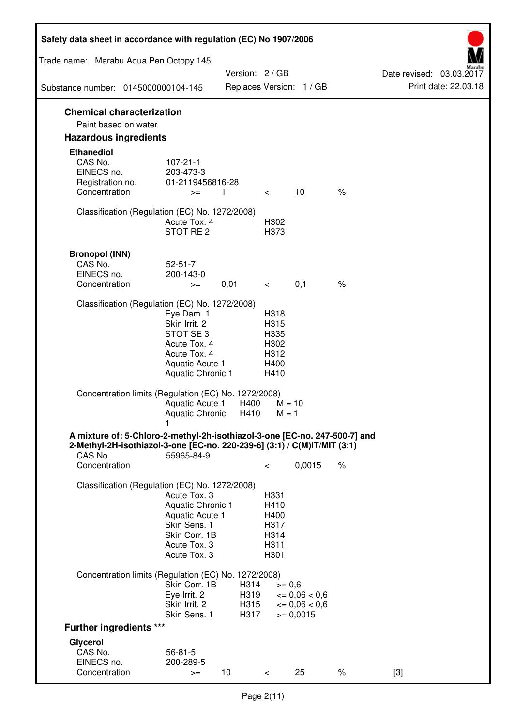| Safety data sheet in accordance with regulation (EC) No 1907/2006                                                                                                 |                                                                                                                         |                              |                                                      |                                                                  |      |                                                  |
|-------------------------------------------------------------------------------------------------------------------------------------------------------------------|-------------------------------------------------------------------------------------------------------------------------|------------------------------|------------------------------------------------------|------------------------------------------------------------------|------|--------------------------------------------------|
| Trade name: Marabu Aqua Pen Octopy 145                                                                                                                            |                                                                                                                         |                              |                                                      |                                                                  |      |                                                  |
| Substance number: 0145000000104-145                                                                                                                               |                                                                                                                         | Version: 2 / GB              |                                                      | Replaces Version: 1 / GB                                         |      | Date revised: 03.03.2017<br>Print date: 22.03.18 |
| <b>Chemical characterization</b>                                                                                                                                  |                                                                                                                         |                              |                                                      |                                                                  |      |                                                  |
| Paint based on water                                                                                                                                              |                                                                                                                         |                              |                                                      |                                                                  |      |                                                  |
| <b>Hazardous ingredients</b>                                                                                                                                      |                                                                                                                         |                              |                                                      |                                                                  |      |                                                  |
| <b>Ethanediol</b><br>CAS No.<br>EINECS no.<br>Registration no.<br>Concentration                                                                                   | $107 - 21 - 1$<br>203-473-3<br>01-2119456816-28<br>$>=$                                                                 | 1                            | $\overline{\phantom{0}}$                             | 10                                                               | $\%$ |                                                  |
| Classification (Regulation (EC) No. 1272/2008)                                                                                                                    | Acute Tox. 4<br>STOT RE 2                                                                                               |                              | H302<br>H373                                         |                                                                  |      |                                                  |
| <b>Bronopol (INN)</b><br>CAS No.<br>EINECS no.<br>Concentration                                                                                                   | $52 - 51 - 7$<br>200-143-0<br>$>=$                                                                                      | 0,01                         | $\lt$ $\lt$                                          | 0,1                                                              | $\%$ |                                                  |
| Classification (Regulation (EC) No. 1272/2008)                                                                                                                    |                                                                                                                         |                              |                                                      |                                                                  |      |                                                  |
|                                                                                                                                                                   | Eye Dam. 1<br>Skin Irrit. 2<br>STOT SE 3<br>Acute Tox. 4<br>Acute Tox. 4<br>Aquatic Acute 1<br><b>Aquatic Chronic 1</b> |                              | H318<br>H315<br>H335<br>H302<br>H312<br>H400<br>H410 |                                                                  |      |                                                  |
| Concentration limits (Regulation (EC) No. 1272/2008)                                                                                                              | Aquatic Acute 1<br>Aquatic Chronic H410                                                                                 | H400                         | $M = 10$<br>$M = 1$                                  |                                                                  |      |                                                  |
| A mixture of: 5-Chloro-2-methyl-2h-isothiazol-3-one [EC-no. 247-500-7] and<br>2-Methyl-2H-isothiazol-3-one [EC-no. 220-239-6] (3:1) / C(M)IT/MIT (3:1)<br>CAS No. | 55965-84-9                                                                                                              |                              |                                                      |                                                                  |      |                                                  |
| Concentration                                                                                                                                                     |                                                                                                                         |                              | $\,<\,$                                              | 0,0015                                                           | $\%$ |                                                  |
| Classification (Regulation (EC) No. 1272/2008)                                                                                                                    | Acute Tox. 3<br>Aquatic Chronic 1<br>Aquatic Acute 1<br>Skin Sens. 1<br>Skin Corr. 1B<br>Acute Tox. 3<br>Acute Tox. 3   |                              | H331<br>H410<br>H400<br>H317<br>H314<br>H311<br>H301 |                                                                  |      |                                                  |
| Concentration limits (Regulation (EC) No. 1272/2008)                                                                                                              |                                                                                                                         |                              |                                                      |                                                                  |      |                                                  |
|                                                                                                                                                                   | Skin Corr. 1B<br>Eye Irrit. 2<br>Skin Irrit. 2<br>Skin Sens. 1                                                          | H314<br>H319<br>H315<br>H317 | $>= 0,6$                                             | $\epsilon = 0.06 < 0.6$<br>$\epsilon = 0.06 < 0.6$<br>$= 0,0015$ |      |                                                  |
| <b>Further ingredients ***</b>                                                                                                                                    |                                                                                                                         |                              |                                                      |                                                                  |      |                                                  |
| Glycerol<br>CAS No.<br>EINECS no.<br>Concentration                                                                                                                | $56 - 81 - 5$<br>200-289-5<br>$>=$                                                                                      | 10 <sup>°</sup>              | $\,<\,$                                              | 25                                                               | $\%$ | $[3]$                                            |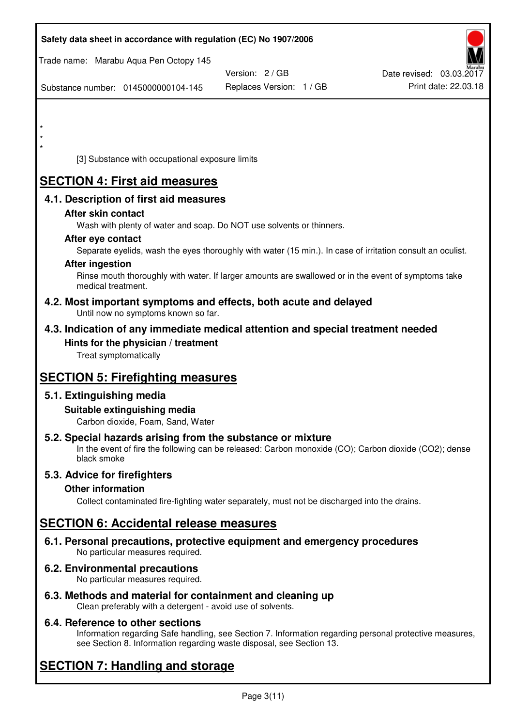| Safety data sheet in accordance with regulation (EC) No 1907/2006                                                                                                                  |                          |                          |
|------------------------------------------------------------------------------------------------------------------------------------------------------------------------------------|--------------------------|--------------------------|
| Trade name: Marabu Aqua Pen Octopy 145                                                                                                                                             | Version: 2/GB            | Date revised: 03.03.2017 |
| Substance number: 0145000000104-145                                                                                                                                                | Replaces Version: 1 / GB | Print date: 22.03.18     |
|                                                                                                                                                                                    |                          |                          |
|                                                                                                                                                                                    |                          |                          |
| $\star$                                                                                                                                                                            |                          |                          |
| [3] Substance with occupational exposure limits                                                                                                                                    |                          |                          |
| <b>SECTION 4: First aid measures</b>                                                                                                                                               |                          |                          |
| 4.1. Description of first aid measures                                                                                                                                             |                          |                          |
| After skin contact                                                                                                                                                                 |                          |                          |
| Wash with plenty of water and soap. Do NOT use solvents or thinners.<br>After eye contact                                                                                          |                          |                          |
| Separate eyelids, wash the eyes thoroughly with water (15 min.). In case of irritation consult an oculist.                                                                         |                          |                          |
| <b>After ingestion</b>                                                                                                                                                             |                          |                          |
| Rinse mouth thoroughly with water. If larger amounts are swallowed or in the event of symptoms take<br>medical treatment.                                                          |                          |                          |
| 4.2. Most important symptoms and effects, both acute and delayed<br>Until now no symptoms known so far.                                                                            |                          |                          |
| 4.3. Indication of any immediate medical attention and special treatment needed                                                                                                    |                          |                          |
| Hints for the physician / treatment<br>Treat symptomatically                                                                                                                       |                          |                          |
| <b>SECTION 5: Firefighting measures</b>                                                                                                                                            |                          |                          |
| 5.1. Extinguishing media                                                                                                                                                           |                          |                          |
| Suitable extinguishing media<br>Carbon dioxide, Foam, Sand, Water                                                                                                                  |                          |                          |
| 5.2. Special hazards arising from the substance or mixture<br>In the event of fire the following can be released: Carbon monoxide (CO); Carbon dioxide (CO2); dense<br>black smoke |                          |                          |
| 5.3. Advice for firefighters                                                                                                                                                       |                          |                          |
| <b>Other information</b><br>Collect contaminated fire-fighting water separately, must not be discharged into the drains.                                                           |                          |                          |
|                                                                                                                                                                                    |                          |                          |
| <b>SECTION 6: Accidental release measures</b>                                                                                                                                      |                          |                          |
| 6.1. Personal precautions, protective equipment and emergency procedures<br>No particular measures required.                                                                       |                          |                          |
| 6.2. Environmental precautions<br>No particular measures required.                                                                                                                 |                          |                          |
|                                                                                                                                                                                    |                          |                          |

**6.3. Methods and material for containment and cleaning up**  Clean preferably with a detergent - avoid use of solvents.

## **6.4. Reference to other sections**

Information regarding Safe handling, see Section 7. Information regarding personal protective measures, see Section 8. Information regarding waste disposal, see Section 13.

# **SECTION 7: Handling and storage**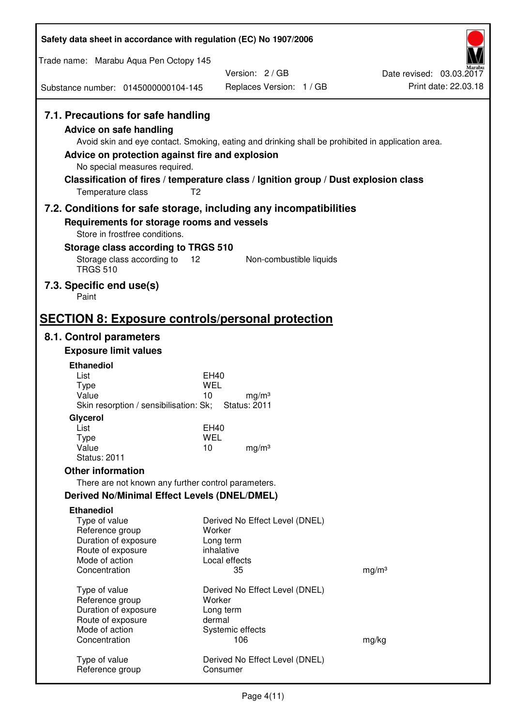| Safety data sheet in accordance with regulation (EC) No 1907/2006                                                                                                                               |                                                                                                                                                                                          |                                                  |  |
|-------------------------------------------------------------------------------------------------------------------------------------------------------------------------------------------------|------------------------------------------------------------------------------------------------------------------------------------------------------------------------------------------|--------------------------------------------------|--|
| Trade name: Marabu Aqua Pen Octopy 145                                                                                                                                                          |                                                                                                                                                                                          |                                                  |  |
| Substance number: 0145000000104-145                                                                                                                                                             | Version: 2/GB<br>Replaces Version: 1 / GB                                                                                                                                                | Date revised: 03.03.2017<br>Print date: 22.03.18 |  |
| 7.1. Precautions for safe handling<br><b>Advice on safe handling</b><br>Advice on protection against fire and explosion<br>No special measures required.<br>T <sub>2</sub><br>Temperature class | Avoid skin and eye contact. Smoking, eating and drinking shall be prohibited in application area.<br>Classification of fires / temperature class / Ignition group / Dust explosion class |                                                  |  |
| 7.2. Conditions for safe storage, including any incompatibilities<br>Requirements for storage rooms and vessels<br>Store in frostfree conditions.                                               |                                                                                                                                                                                          |                                                  |  |
| Storage class according to TRGS 510<br>Storage class according to<br><b>TRGS 510</b>                                                                                                            | 12<br>Non-combustible liquids                                                                                                                                                            |                                                  |  |
| 7.3. Specific end use(s)<br>Paint                                                                                                                                                               |                                                                                                                                                                                          |                                                  |  |
| <b>SECTION 8: Exposure controls/personal protection</b>                                                                                                                                         |                                                                                                                                                                                          |                                                  |  |
| 8.1. Control parameters                                                                                                                                                                         |                                                                                                                                                                                          |                                                  |  |
| <b>Exposure limit values</b>                                                                                                                                                                    |                                                                                                                                                                                          |                                                  |  |
| <b>Ethanediol</b>                                                                                                                                                                               |                                                                                                                                                                                          |                                                  |  |
| List<br><b>Type</b>                                                                                                                                                                             | EH40<br><b>WEL</b>                                                                                                                                                                       |                                                  |  |
| Value<br>Skin resorption / sensibilisation: Sk;                                                                                                                                                 | 10<br>mg/m <sup>3</sup><br><b>Status: 2011</b>                                                                                                                                           |                                                  |  |
| Glycerol                                                                                                                                                                                        |                                                                                                                                                                                          |                                                  |  |
| List                                                                                                                                                                                            | EH40                                                                                                                                                                                     |                                                  |  |
| <b>Type</b><br>Value                                                                                                                                                                            | <b>WEL</b><br>10<br>mg/m <sup>3</sup>                                                                                                                                                    |                                                  |  |
| <b>Status: 2011</b>                                                                                                                                                                             |                                                                                                                                                                                          |                                                  |  |
| <b>Other information</b>                                                                                                                                                                        |                                                                                                                                                                                          |                                                  |  |
| There are not known any further control parameters.                                                                                                                                             |                                                                                                                                                                                          |                                                  |  |
| Derived No/Minimal Effect Levels (DNEL/DMEL)                                                                                                                                                    |                                                                                                                                                                                          |                                                  |  |
| <b>Ethanediol</b>                                                                                                                                                                               |                                                                                                                                                                                          |                                                  |  |
| Type of value                                                                                                                                                                                   | Derived No Effect Level (DNEL)                                                                                                                                                           |                                                  |  |
| Reference group<br>Duration of exposure                                                                                                                                                         | Worker<br>Long term                                                                                                                                                                      |                                                  |  |
| Route of exposure                                                                                                                                                                               | inhalative                                                                                                                                                                               |                                                  |  |
| Mode of action                                                                                                                                                                                  | Local effects                                                                                                                                                                            |                                                  |  |
| Concentration                                                                                                                                                                                   | 35                                                                                                                                                                                       | mg/m <sup>3</sup>                                |  |
| Type of value                                                                                                                                                                                   | Derived No Effect Level (DNEL)                                                                                                                                                           |                                                  |  |
| Reference group                                                                                                                                                                                 | Worker                                                                                                                                                                                   |                                                  |  |
| Duration of exposure                                                                                                                                                                            | Long term                                                                                                                                                                                |                                                  |  |
| Route of exposure<br>Mode of action                                                                                                                                                             | dermal<br>Systemic effects                                                                                                                                                               |                                                  |  |
| Concentration                                                                                                                                                                                   | 106                                                                                                                                                                                      | mg/kg                                            |  |
| Type of value<br>Reference group                                                                                                                                                                | Derived No Effect Level (DNEL)<br>Consumer                                                                                                                                               |                                                  |  |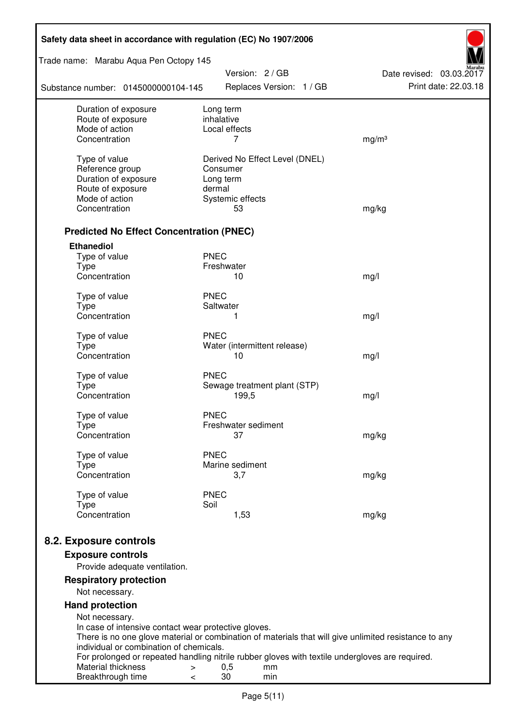| Safety data sheet in accordance with regulation (EC) No 1907/2006 |                                                                                                       |                          |  |  |
|-------------------------------------------------------------------|-------------------------------------------------------------------------------------------------------|--------------------------|--|--|
| Trade name: Marabu Aqua Pen Octopy 145                            | Version: 2 / GB                                                                                       | Date revised: 03.03.2017 |  |  |
| Substance number: 0145000000104-145                               | Replaces Version: 1 / GB                                                                              | Print date: 22.03.18     |  |  |
| Duration of exposure                                              | Long term                                                                                             |                          |  |  |
| Route of exposure<br>Mode of action                               | inhalative<br>Local effects                                                                           |                          |  |  |
| Concentration                                                     | 7                                                                                                     | mg/m <sup>3</sup>        |  |  |
|                                                                   |                                                                                                       |                          |  |  |
| Type of value                                                     | Derived No Effect Level (DNEL)                                                                        |                          |  |  |
| Reference group                                                   | Consumer                                                                                              |                          |  |  |
| Duration of exposure<br>Route of exposure                         | Long term<br>dermal                                                                                   |                          |  |  |
| Mode of action                                                    | Systemic effects                                                                                      |                          |  |  |
| Concentration                                                     | 53                                                                                                    | mg/kg                    |  |  |
|                                                                   |                                                                                                       |                          |  |  |
| <b>Predicted No Effect Concentration (PNEC)</b>                   |                                                                                                       |                          |  |  |
| <b>Ethanediol</b>                                                 |                                                                                                       |                          |  |  |
| Type of value<br><b>Type</b>                                      | <b>PNEC</b><br>Freshwater                                                                             |                          |  |  |
| Concentration                                                     | 10                                                                                                    | mg/l                     |  |  |
|                                                                   |                                                                                                       |                          |  |  |
| Type of value                                                     | <b>PNEC</b>                                                                                           |                          |  |  |
| <b>Type</b><br>Concentration                                      | Saltwater<br>1                                                                                        |                          |  |  |
|                                                                   |                                                                                                       | mg/l                     |  |  |
| Type of value                                                     | <b>PNEC</b>                                                                                           |                          |  |  |
| <b>Type</b>                                                       | Water (intermittent release)                                                                          |                          |  |  |
| Concentration                                                     | 10                                                                                                    | mg/l                     |  |  |
| Type of value                                                     | <b>PNEC</b>                                                                                           |                          |  |  |
| <b>Type</b>                                                       | Sewage treatment plant (STP)                                                                          |                          |  |  |
| Concentration                                                     | 199,5                                                                                                 | mg/l                     |  |  |
| Type of value                                                     | <b>PNEC</b>                                                                                           |                          |  |  |
| Type                                                              | Freshwater sediment                                                                                   |                          |  |  |
| Concentration                                                     | 37                                                                                                    | mg/kg                    |  |  |
| Type of value                                                     | <b>PNEC</b>                                                                                           |                          |  |  |
| <b>Type</b>                                                       | Marine sediment                                                                                       |                          |  |  |
| Concentration                                                     | 3,7                                                                                                   | mg/kg                    |  |  |
| Type of value                                                     | <b>PNEC</b>                                                                                           |                          |  |  |
| <b>Type</b>                                                       | Soil                                                                                                  |                          |  |  |
| Concentration                                                     | 1,53                                                                                                  | mg/kg                    |  |  |
|                                                                   |                                                                                                       |                          |  |  |
| 8.2. Exposure controls                                            |                                                                                                       |                          |  |  |
| <b>Exposure controls</b>                                          |                                                                                                       |                          |  |  |
| Provide adequate ventilation.                                     |                                                                                                       |                          |  |  |
| <b>Respiratory protection</b><br>Not necessary.                   |                                                                                                       |                          |  |  |
| <b>Hand protection</b>                                            |                                                                                                       |                          |  |  |
| Not necessary.                                                    |                                                                                                       |                          |  |  |
| In case of intensive contact wear protective gloves.              |                                                                                                       |                          |  |  |
| individual or combination of chemicals.                           | There is no one glove material or combination of materials that will give unlimited resistance to any |                          |  |  |
|                                                                   | For prolonged or repeated handling nitrile rubber gloves with textile undergloves are required.       |                          |  |  |
| Material thickness<br>>                                           | 0,5<br>mm                                                                                             |                          |  |  |
| Breakthrough time<br><                                            | 30<br>min                                                                                             |                          |  |  |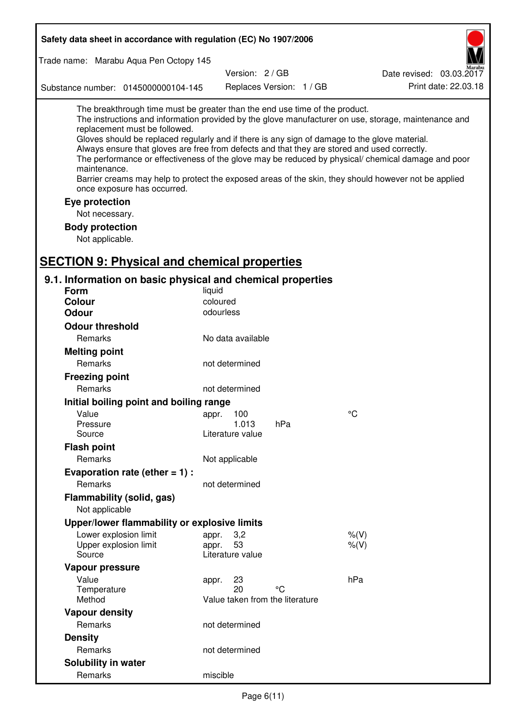| Safety data sheet in accordance with regulation (EC) No 1907/2006                                                                                                                                                                                                                                                                                            |                       |                                 |                                                                                                                                                                                                                                                                                                                    |  |
|--------------------------------------------------------------------------------------------------------------------------------------------------------------------------------------------------------------------------------------------------------------------------------------------------------------------------------------------------------------|-----------------------|---------------------------------|--------------------------------------------------------------------------------------------------------------------------------------------------------------------------------------------------------------------------------------------------------------------------------------------------------------------|--|
| Trade name: Marabu Aqua Pen Octopy 145                                                                                                                                                                                                                                                                                                                       |                       |                                 |                                                                                                                                                                                                                                                                                                                    |  |
|                                                                                                                                                                                                                                                                                                                                                              |                       | Version: 2/GB                   | Date revised: 03.03.2017                                                                                                                                                                                                                                                                                           |  |
| Substance number: 0145000000104-145                                                                                                                                                                                                                                                                                                                          |                       | Replaces Version: 1 / GB        | Print date: 22.03.18                                                                                                                                                                                                                                                                                               |  |
| The breakthrough time must be greater than the end use time of the product.<br>replacement must be followed.<br>Gloves should be replaced regularly and if there is any sign of damage to the glove material.<br>Always ensure that gloves are free from defects and that they are stored and used correctly.<br>maintenance.<br>once exposure has occurred. |                       |                                 | The instructions and information provided by the glove manufacturer on use, storage, maintenance and<br>The performance or effectiveness of the glove may be reduced by physical/ chemical damage and poor<br>Barrier creams may help to protect the exposed areas of the skin, they should however not be applied |  |
| Eye protection                                                                                                                                                                                                                                                                                                                                               |                       |                                 |                                                                                                                                                                                                                                                                                                                    |  |
| Not necessary.                                                                                                                                                                                                                                                                                                                                               |                       |                                 |                                                                                                                                                                                                                                                                                                                    |  |
| <b>Body protection</b>                                                                                                                                                                                                                                                                                                                                       |                       |                                 |                                                                                                                                                                                                                                                                                                                    |  |
| Not applicable.                                                                                                                                                                                                                                                                                                                                              |                       |                                 |                                                                                                                                                                                                                                                                                                                    |  |
|                                                                                                                                                                                                                                                                                                                                                              |                       |                                 |                                                                                                                                                                                                                                                                                                                    |  |
| <b>SECTION 9: Physical and chemical properties</b>                                                                                                                                                                                                                                                                                                           |                       |                                 |                                                                                                                                                                                                                                                                                                                    |  |
| 9.1. Information on basic physical and chemical properties                                                                                                                                                                                                                                                                                                   |                       |                                 |                                                                                                                                                                                                                                                                                                                    |  |
| Form                                                                                                                                                                                                                                                                                                                                                         | liquid                |                                 |                                                                                                                                                                                                                                                                                                                    |  |
| <b>Colour</b><br><b>Odour</b>                                                                                                                                                                                                                                                                                                                                | coloured<br>odourless |                                 |                                                                                                                                                                                                                                                                                                                    |  |
|                                                                                                                                                                                                                                                                                                                                                              |                       |                                 |                                                                                                                                                                                                                                                                                                                    |  |
| <b>Odour threshold</b><br>Remarks                                                                                                                                                                                                                                                                                                                            | No data available     |                                 |                                                                                                                                                                                                                                                                                                                    |  |
|                                                                                                                                                                                                                                                                                                                                                              |                       |                                 |                                                                                                                                                                                                                                                                                                                    |  |
| <b>Melting point</b><br>Remarks                                                                                                                                                                                                                                                                                                                              |                       |                                 |                                                                                                                                                                                                                                                                                                                    |  |
|                                                                                                                                                                                                                                                                                                                                                              | not determined        |                                 |                                                                                                                                                                                                                                                                                                                    |  |
| <b>Freezing point</b>                                                                                                                                                                                                                                                                                                                                        |                       |                                 |                                                                                                                                                                                                                                                                                                                    |  |
| Remarks                                                                                                                                                                                                                                                                                                                                                      | not determined        |                                 |                                                                                                                                                                                                                                                                                                                    |  |
| Initial boiling point and boiling range                                                                                                                                                                                                                                                                                                                      |                       |                                 |                                                                                                                                                                                                                                                                                                                    |  |
| Value<br>Pressure                                                                                                                                                                                                                                                                                                                                            | appr. 100<br>1.013    | hPa                             | $\rm ^{\circ}C$                                                                                                                                                                                                                                                                                                    |  |
| Source                                                                                                                                                                                                                                                                                                                                                       | Literature value      |                                 |                                                                                                                                                                                                                                                                                                                    |  |
| <b>Flash point</b>                                                                                                                                                                                                                                                                                                                                           |                       |                                 |                                                                                                                                                                                                                                                                                                                    |  |
| Remarks                                                                                                                                                                                                                                                                                                                                                      | Not applicable        |                                 |                                                                                                                                                                                                                                                                                                                    |  |
| Evaporation rate (ether $= 1$ ) :                                                                                                                                                                                                                                                                                                                            |                       |                                 |                                                                                                                                                                                                                                                                                                                    |  |
| Remarks                                                                                                                                                                                                                                                                                                                                                      | not determined        |                                 |                                                                                                                                                                                                                                                                                                                    |  |
| Flammability (solid, gas)                                                                                                                                                                                                                                                                                                                                    |                       |                                 |                                                                                                                                                                                                                                                                                                                    |  |
| Not applicable                                                                                                                                                                                                                                                                                                                                               |                       |                                 |                                                                                                                                                                                                                                                                                                                    |  |
| Upper/lower flammability or explosive limits                                                                                                                                                                                                                                                                                                                 |                       |                                 |                                                                                                                                                                                                                                                                                                                    |  |
| Lower explosion limit                                                                                                                                                                                                                                                                                                                                        | 3,2<br>appr.          |                                 | $%$ (V)                                                                                                                                                                                                                                                                                                            |  |
| Upper explosion limit                                                                                                                                                                                                                                                                                                                                        | 53<br>appr.           |                                 | $%$ $(V)$                                                                                                                                                                                                                                                                                                          |  |
| Source                                                                                                                                                                                                                                                                                                                                                       | Literature value      |                                 |                                                                                                                                                                                                                                                                                                                    |  |
| Vapour pressure                                                                                                                                                                                                                                                                                                                                              |                       |                                 |                                                                                                                                                                                                                                                                                                                    |  |
| Value<br>Temperature                                                                                                                                                                                                                                                                                                                                         | 23<br>appr.<br>20     | °C                              | hPa                                                                                                                                                                                                                                                                                                                |  |
| Method                                                                                                                                                                                                                                                                                                                                                       |                       | Value taken from the literature |                                                                                                                                                                                                                                                                                                                    |  |
| <b>Vapour density</b>                                                                                                                                                                                                                                                                                                                                        |                       |                                 |                                                                                                                                                                                                                                                                                                                    |  |
| Remarks                                                                                                                                                                                                                                                                                                                                                      | not determined        |                                 |                                                                                                                                                                                                                                                                                                                    |  |
| <b>Density</b>                                                                                                                                                                                                                                                                                                                                               |                       |                                 |                                                                                                                                                                                                                                                                                                                    |  |
| Remarks                                                                                                                                                                                                                                                                                                                                                      | not determined        |                                 |                                                                                                                                                                                                                                                                                                                    |  |
| Solubility in water                                                                                                                                                                                                                                                                                                                                          |                       |                                 |                                                                                                                                                                                                                                                                                                                    |  |
| Remarks                                                                                                                                                                                                                                                                                                                                                      | miscible              |                                 |                                                                                                                                                                                                                                                                                                                    |  |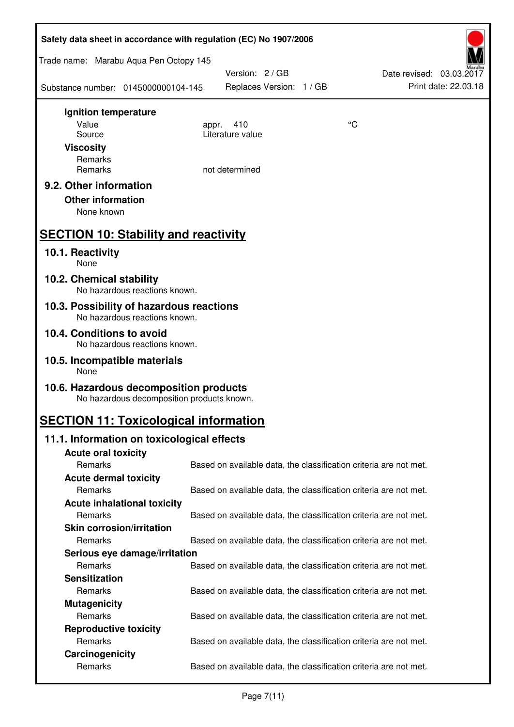| Safety data sheet in accordance with regulation (EC) No 1907/2006                    |                                                                   |    |                                                  |  |
|--------------------------------------------------------------------------------------|-------------------------------------------------------------------|----|--------------------------------------------------|--|
| Trade name: Marabu Aqua Pen Octopy 145                                               |                                                                   |    |                                                  |  |
| Substance number: 0145000000104-145                                                  | Version: 2 / GB<br>Replaces Version: 1 / GB                       |    | Date revised: 03.03.2017<br>Print date: 22.03.18 |  |
| Ignition temperature                                                                 |                                                                   |    |                                                  |  |
| Value<br>Source                                                                      | 410<br>appr.<br>Literature value                                  | °C |                                                  |  |
| <b>Viscosity</b>                                                                     |                                                                   |    |                                                  |  |
| Remarks                                                                              |                                                                   |    |                                                  |  |
| Remarks                                                                              | not determined                                                    |    |                                                  |  |
| 9.2. Other information                                                               |                                                                   |    |                                                  |  |
| <b>Other information</b><br>None known                                               |                                                                   |    |                                                  |  |
|                                                                                      |                                                                   |    |                                                  |  |
| <b>SECTION 10: Stability and reactivity</b>                                          |                                                                   |    |                                                  |  |
| 10.1. Reactivity<br>None                                                             |                                                                   |    |                                                  |  |
| 10.2. Chemical stability<br>No hazardous reactions known.                            |                                                                   |    |                                                  |  |
| 10.3. Possibility of hazardous reactions<br>No hazardous reactions known.            |                                                                   |    |                                                  |  |
| 10.4. Conditions to avoid<br>No hazardous reactions known.                           |                                                                   |    |                                                  |  |
| 10.5. Incompatible materials<br>None                                                 |                                                                   |    |                                                  |  |
| 10.6. Hazardous decomposition products<br>No hazardous decomposition products known. |                                                                   |    |                                                  |  |
| <b>SECTION 11: Toxicological information</b>                                         |                                                                   |    |                                                  |  |
| 11.1. Information on toxicological effects                                           |                                                                   |    |                                                  |  |
| <b>Acute oral toxicity</b>                                                           |                                                                   |    |                                                  |  |
| Remarks                                                                              | Based on available data, the classification criteria are not met. |    |                                                  |  |
| <b>Acute dermal toxicity</b><br>Remarks                                              | Based on available data, the classification criteria are not met. |    |                                                  |  |
| <b>Acute inhalational toxicity</b>                                                   |                                                                   |    |                                                  |  |
| Remarks                                                                              | Based on available data, the classification criteria are not met. |    |                                                  |  |
| <b>Skin corrosion/irritation</b>                                                     |                                                                   |    |                                                  |  |
| Remarks                                                                              | Based on available data, the classification criteria are not met. |    |                                                  |  |
| Serious eye damage/irritation                                                        |                                                                   |    |                                                  |  |
| Remarks                                                                              | Based on available data, the classification criteria are not met. |    |                                                  |  |
| <b>Sensitization</b><br>Remarks                                                      |                                                                   |    |                                                  |  |
| <b>Mutagenicity</b>                                                                  | Based on available data, the classification criteria are not met. |    |                                                  |  |
| Remarks                                                                              | Based on available data, the classification criteria are not met. |    |                                                  |  |
| <b>Reproductive toxicity</b>                                                         |                                                                   |    |                                                  |  |
| Remarks                                                                              | Based on available data, the classification criteria are not met. |    |                                                  |  |
| Carcinogenicity                                                                      |                                                                   |    |                                                  |  |
| Remarks                                                                              | Based on available data, the classification criteria are not met. |    |                                                  |  |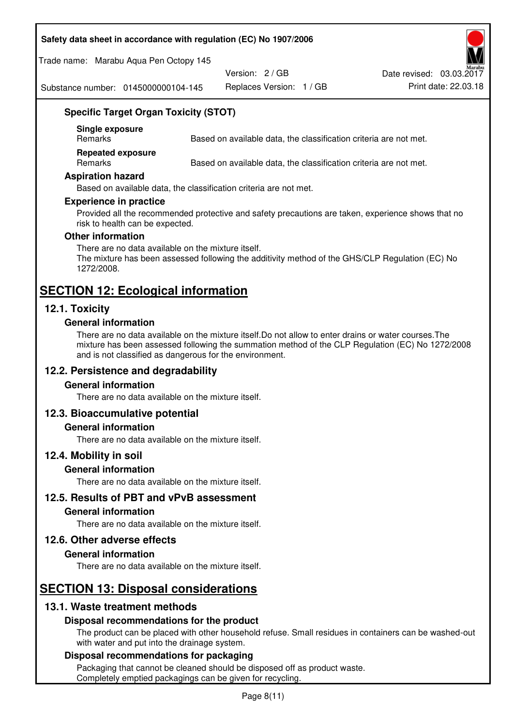#### **Safety data sheet in accordance with regulation (EC) No 1907/2006**

Trade name: Marabu Aqua Pen Octopy 145

Version: 2 / GB

Replaces Version: 1 / GB Print date: 22.03.18 Date revised: 03.03.2017

Substance number: 0145000000104-145

## **Specific Target Organ Toxicity (STOT)**

**Single exposure** 

Based on available data, the classification criteria are not met.

**Repeated exposure** 

Remarks Based on available data, the classification criteria are not met.

#### **Aspiration hazard**

Based on available data, the classification criteria are not met.

#### **Experience in practice**

Provided all the recommended protective and safety precautions are taken, experience shows that no risk to health can be expected.

#### **Other information**

There are no data available on the mixture itself. The mixture has been assessed following the additivity method of the GHS/CLP Regulation (EC) No 1272/2008.

## **SECTION 12: Ecological information**

## **12.1. Toxicity**

#### **General information**

There are no data available on the mixture itself.Do not allow to enter drains or water courses.The mixture has been assessed following the summation method of the CLP Regulation (EC) No 1272/2008 and is not classified as dangerous for the environment.

## **12.2. Persistence and degradability**

#### **General information**

There are no data available on the mixture itself.

#### **12.3. Bioaccumulative potential**

#### **General information**

There are no data available on the mixture itself.

#### **12.4. Mobility in soil**

#### **General information**

There are no data available on the mixture itself.

**12.5. Results of PBT and vPvB assessment** 

## **General information**

There are no data available on the mixture itself.

#### **12.6. Other adverse effects**

#### **General information**

There are no data available on the mixture itself.

# **SECTION 13: Disposal considerations**

## **13.1. Waste treatment methods**

#### **Disposal recommendations for the product**

The product can be placed with other household refuse. Small residues in containers can be washed-out with water and put into the drainage system.

#### **Disposal recommendations for packaging**

Packaging that cannot be cleaned should be disposed off as product waste. Completely emptied packagings can be given for recycling.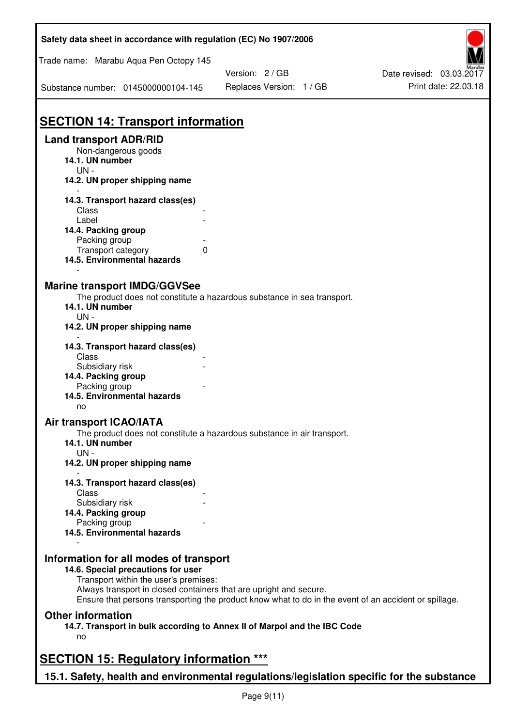| Safety data sheet in accordance with regulation (EC) No 1907/2006                                                                                                                                                                                                                                    |                          |                          |  |  |
|------------------------------------------------------------------------------------------------------------------------------------------------------------------------------------------------------------------------------------------------------------------------------------------------------|--------------------------|--------------------------|--|--|
| Trade name: Marabu Aqua Pen Octopy 145                                                                                                                                                                                                                                                               |                          |                          |  |  |
|                                                                                                                                                                                                                                                                                                      | Version: 2 / GB          | Date revised: 03.03.2017 |  |  |
| Substance number: 0145000000104-145                                                                                                                                                                                                                                                                  | Replaces Version: 1 / GB | Print date: 22.03.18     |  |  |
|                                                                                                                                                                                                                                                                                                      |                          |                          |  |  |
| <b>SECTION 14: Transport information</b>                                                                                                                                                                                                                                                             |                          |                          |  |  |
| <b>Land transport ADR/RID</b><br>Non-dangerous goods<br>14.1. UN number<br>$UN -$                                                                                                                                                                                                                    |                          |                          |  |  |
| 14.2. UN proper shipping name                                                                                                                                                                                                                                                                        |                          |                          |  |  |
| 14.3. Transport hazard class(es)                                                                                                                                                                                                                                                                     |                          |                          |  |  |
| Class                                                                                                                                                                                                                                                                                                |                          |                          |  |  |
| Label                                                                                                                                                                                                                                                                                                |                          |                          |  |  |
| 14.4. Packing group<br>Packing group                                                                                                                                                                                                                                                                 |                          |                          |  |  |
| Transport category<br>$\mathbf{0}$                                                                                                                                                                                                                                                                   |                          |                          |  |  |
| 14.5. Environmental hazards                                                                                                                                                                                                                                                                          |                          |                          |  |  |
| <b>Marine transport IMDG/GGVSee</b><br>The product does not constitute a hazardous substance in sea transport.<br>14.1. UN number<br>$UN -$<br>14.2. UN proper shipping name                                                                                                                         |                          |                          |  |  |
| 14.3. Transport hazard class(es)                                                                                                                                                                                                                                                                     |                          |                          |  |  |
| Class                                                                                                                                                                                                                                                                                                |                          |                          |  |  |
| Subsidiary risk<br>14.4. Packing group                                                                                                                                                                                                                                                               |                          |                          |  |  |
| Packing group                                                                                                                                                                                                                                                                                        |                          |                          |  |  |
| 14.5. Environmental hazards<br>no                                                                                                                                                                                                                                                                    |                          |                          |  |  |
| <b>Air transport ICAO/IATA</b>                                                                                                                                                                                                                                                                       |                          |                          |  |  |
| The product does not constitute a hazardous substance in air transport.<br>14.1. UN number<br>$UN -$                                                                                                                                                                                                 |                          |                          |  |  |
| 14.2. UN proper shipping name                                                                                                                                                                                                                                                                        |                          |                          |  |  |
| 14.3. Transport hazard class(es)                                                                                                                                                                                                                                                                     |                          |                          |  |  |
| Class                                                                                                                                                                                                                                                                                                |                          |                          |  |  |
| Subsidiary risk                                                                                                                                                                                                                                                                                      |                          |                          |  |  |
| 14.4. Packing group<br>Packing group                                                                                                                                                                                                                                                                 |                          |                          |  |  |
| 14.5. Environmental hazards                                                                                                                                                                                                                                                                          |                          |                          |  |  |
| Information for all modes of transport<br>14.6. Special precautions for user<br>Transport within the user's premises:<br>Always transport in closed containers that are upright and secure.<br>Ensure that persons transporting the product know what to do in the event of an accident or spillage. |                          |                          |  |  |
| <b>Other information</b>                                                                                                                                                                                                                                                                             |                          |                          |  |  |
| 14.7. Transport in bulk according to Annex II of Marpol and the IBC Code<br>no                                                                                                                                                                                                                       |                          |                          |  |  |
|                                                                                                                                                                                                                                                                                                      |                          |                          |  |  |
| <b>SECTION 15: Regulatory information ***</b>                                                                                                                                                                                                                                                        |                          |                          |  |  |
| 15.1. Safety, health and environmental regulations/legislation specific for the substance                                                                                                                                                                                                            |                          |                          |  |  |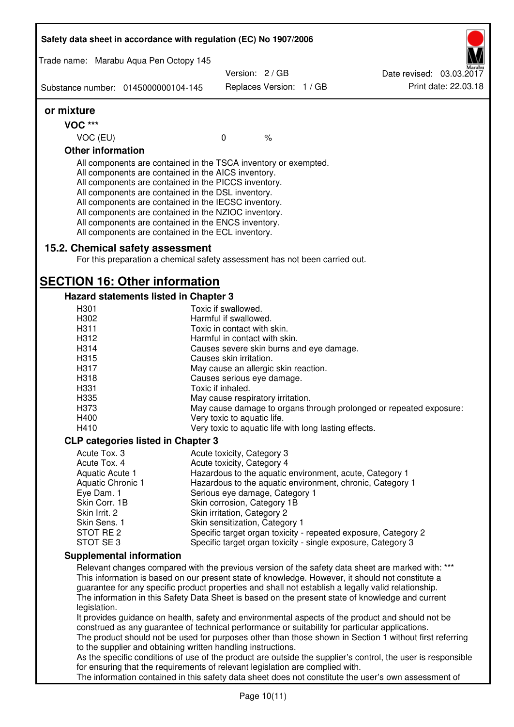|                             | Safety data sheet in accordance with regulation (EC) No 1907/2006                                                                                                                                                                                                                                                                                                                                                                                                 |                                                               |                          |                                                                                                                                                                                                         |
|-----------------------------|-------------------------------------------------------------------------------------------------------------------------------------------------------------------------------------------------------------------------------------------------------------------------------------------------------------------------------------------------------------------------------------------------------------------------------------------------------------------|---------------------------------------------------------------|--------------------------|---------------------------------------------------------------------------------------------------------------------------------------------------------------------------------------------------------|
|                             | Trade name: Marabu Aqua Pen Octopy 145                                                                                                                                                                                                                                                                                                                                                                                                                            |                                                               |                          |                                                                                                                                                                                                         |
|                             | Substance number: 0145000000104-145                                                                                                                                                                                                                                                                                                                                                                                                                               | Version: 2 / GB                                               | Replaces Version: 1 / GB | Date revised: 03.03.2017<br>Print date: 22.03.18                                                                                                                                                        |
| or mixture                  |                                                                                                                                                                                                                                                                                                                                                                                                                                                                   |                                                               |                          |                                                                                                                                                                                                         |
| <b>VOC ***</b>              |                                                                                                                                                                                                                                                                                                                                                                                                                                                                   |                                                               |                          |                                                                                                                                                                                                         |
| VOC (EU)                    |                                                                                                                                                                                                                                                                                                                                                                                                                                                                   | $\mathbf 0$                                                   | $\%$                     |                                                                                                                                                                                                         |
| <b>Other information</b>    |                                                                                                                                                                                                                                                                                                                                                                                                                                                                   |                                                               |                          |                                                                                                                                                                                                         |
|                             | All components are contained in the TSCA inventory or exempted.<br>All components are contained in the AICS inventory.<br>All components are contained in the PICCS inventory.<br>All components are contained in the DSL inventory.<br>All components are contained in the IECSC inventory.<br>All components are contained in the NZIOC inventory.<br>All components are contained in the ENCS inventory.<br>All components are contained in the ECL inventory. |                                                               |                          |                                                                                                                                                                                                         |
|                             | 15.2. Chemical safety assessment<br>For this preparation a chemical safety assessment has not been carried out.                                                                                                                                                                                                                                                                                                                                                   |                                                               |                          |                                                                                                                                                                                                         |
|                             | <b>SECTION 16: Other information</b>                                                                                                                                                                                                                                                                                                                                                                                                                              |                                                               |                          |                                                                                                                                                                                                         |
|                             | Hazard statements listed in Chapter 3                                                                                                                                                                                                                                                                                                                                                                                                                             |                                                               |                          |                                                                                                                                                                                                         |
| H301<br>H302                |                                                                                                                                                                                                                                                                                                                                                                                                                                                                   | Toxic if swallowed.<br>Harmful if swallowed.                  |                          |                                                                                                                                                                                                         |
| H311                        |                                                                                                                                                                                                                                                                                                                                                                                                                                                                   | Toxic in contact with skin.                                   |                          |                                                                                                                                                                                                         |
| H312                        |                                                                                                                                                                                                                                                                                                                                                                                                                                                                   | Harmful in contact with skin.                                 |                          |                                                                                                                                                                                                         |
| H314                        |                                                                                                                                                                                                                                                                                                                                                                                                                                                                   | Causes severe skin burns and eye damage.                      |                          |                                                                                                                                                                                                         |
| H315                        |                                                                                                                                                                                                                                                                                                                                                                                                                                                                   | Causes skin irritation.                                       |                          |                                                                                                                                                                                                         |
| H317                        |                                                                                                                                                                                                                                                                                                                                                                                                                                                                   | May cause an allergic skin reaction.                          |                          |                                                                                                                                                                                                         |
| H318                        |                                                                                                                                                                                                                                                                                                                                                                                                                                                                   | Causes serious eye damage.                                    |                          |                                                                                                                                                                                                         |
| H331                        |                                                                                                                                                                                                                                                                                                                                                                                                                                                                   | Toxic if inhaled.                                             |                          |                                                                                                                                                                                                         |
| H335                        |                                                                                                                                                                                                                                                                                                                                                                                                                                                                   | May cause respiratory irritation.                             |                          |                                                                                                                                                                                                         |
| H373                        |                                                                                                                                                                                                                                                                                                                                                                                                                                                                   |                                                               |                          | May cause damage to organs through prolonged or repeated exposure:                                                                                                                                      |
| H400                        |                                                                                                                                                                                                                                                                                                                                                                                                                                                                   | Very toxic to aquatic life.                                   |                          |                                                                                                                                                                                                         |
| H410                        |                                                                                                                                                                                                                                                                                                                                                                                                                                                                   | Very toxic to aquatic life with long lasting effects.         |                          |                                                                                                                                                                                                         |
|                             | <b>CLP categories listed in Chapter 3</b>                                                                                                                                                                                                                                                                                                                                                                                                                         |                                                               |                          |                                                                                                                                                                                                         |
| Acute Tox. 3                |                                                                                                                                                                                                                                                                                                                                                                                                                                                                   | Acute toxicity, Category 3                                    |                          |                                                                                                                                                                                                         |
| Acute Tox. 4                |                                                                                                                                                                                                                                                                                                                                                                                                                                                                   | Acute toxicity, Category 4                                    |                          |                                                                                                                                                                                                         |
| Aquatic Acute 1             |                                                                                                                                                                                                                                                                                                                                                                                                                                                                   |                                                               |                          | Hazardous to the aquatic environment, acute, Category 1                                                                                                                                                 |
| Aquatic Chronic 1           |                                                                                                                                                                                                                                                                                                                                                                                                                                                                   |                                                               |                          | Hazardous to the aquatic environment, chronic, Category 1                                                                                                                                               |
| Eye Dam. 1<br>Skin Corr. 1B |                                                                                                                                                                                                                                                                                                                                                                                                                                                                   | Serious eye damage, Category 1<br>Skin corrosion, Category 1B |                          |                                                                                                                                                                                                         |
| Skin Irrit. 2               |                                                                                                                                                                                                                                                                                                                                                                                                                                                                   | Skin irritation, Category 2                                   |                          |                                                                                                                                                                                                         |
| Skin Sens. 1                |                                                                                                                                                                                                                                                                                                                                                                                                                                                                   | Skin sensitization, Category 1                                |                          |                                                                                                                                                                                                         |
| STOT RE <sub>2</sub>        |                                                                                                                                                                                                                                                                                                                                                                                                                                                                   |                                                               |                          | Specific target organ toxicity - repeated exposure, Category 2                                                                                                                                          |
| STOT SE 3                   |                                                                                                                                                                                                                                                                                                                                                                                                                                                                   |                                                               |                          | Specific target organ toxicity - single exposure, Category 3                                                                                                                                            |
|                             | <b>Supplemental information</b>                                                                                                                                                                                                                                                                                                                                                                                                                                   |                                                               |                          |                                                                                                                                                                                                         |
|                             |                                                                                                                                                                                                                                                                                                                                                                                                                                                                   |                                                               |                          | Relevant changes compared with the previous version of the safety data sheet are marked with: ***                                                                                                       |
|                             |                                                                                                                                                                                                                                                                                                                                                                                                                                                                   |                                                               |                          | This information is based on our present state of knowledge. However, it should not constitute a                                                                                                        |
| legislation.                |                                                                                                                                                                                                                                                                                                                                                                                                                                                                   |                                                               |                          | guarantee for any specific product properties and shall not establish a legally valid relationship.<br>The information in this Safety Data Sheet is based on the present state of knowledge and current |
|                             |                                                                                                                                                                                                                                                                                                                                                                                                                                                                   |                                                               |                          | It provides guidance on health, safety and environmental aspects of the product and should not be                                                                                                       |
|                             | construed as any guarantee of technical performance or suitability for particular applications.                                                                                                                                                                                                                                                                                                                                                                   |                                                               |                          |                                                                                                                                                                                                         |
|                             |                                                                                                                                                                                                                                                                                                                                                                                                                                                                   |                                                               |                          | The product should not be used for purposes other than those shown in Section 1 without first referring                                                                                                 |
|                             | to the supplier and obtaining written handling instructions.                                                                                                                                                                                                                                                                                                                                                                                                      |                                                               |                          |                                                                                                                                                                                                         |
|                             |                                                                                                                                                                                                                                                                                                                                                                                                                                                                   |                                                               |                          | As the specific conditions of use of the product are outside the supplier's control, the user is responsible                                                                                            |
|                             | for ensuring that the requirements of relevant legislation are complied with.                                                                                                                                                                                                                                                                                                                                                                                     |                                                               |                          | The information contained in this safety data sheet does not constitute the user's own assessment of                                                                                                    |